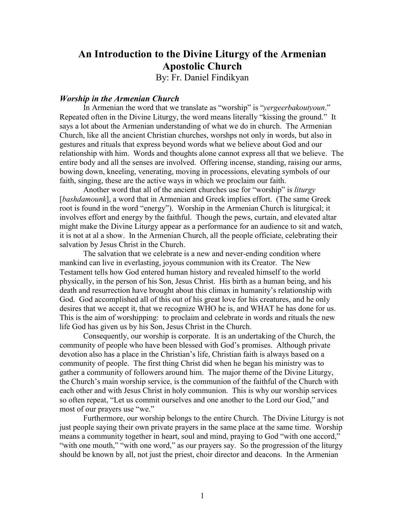# **An Introduction to the Divine Liturgy of the Armenian Apostolic Church**

By: Fr. Daniel Findikyan

#### *Worship in the Armenian Church*

 In Armenian the word that we translate as "worship" is "*yergeerbakoutyoun*." Repeated often in the Divine Liturgy, the word means literally "kissing the ground." It says a lot about the Armenian understanding of what we do in church. The Armenian Church, like all the ancient Christian churches, worshps not only in words, but also in gestures and rituals that express beyond words what we believe about God and our relationship with him. Words and thoughts alone cannot express all that we believe. The entire body and all the senses are involved. Offering incense, standing, raising our arms, bowing down, kneeling, venerating, moving in processions, elevating symbols of our faith, singing, these are the active ways in which we proclaim our faith.

 Another word that all of the ancient churches use for "worship" is *liturgy* [*bashdamounk*], a word that in Armenian and Greek implies effort. (The same Greek root is found in the word "energy"). Worship in the Armenian Church is liturgical; it involves effort and energy by the faithful. Though the pews, curtain, and elevated altar might make the Divine Liturgy appear as a performance for an audience to sit and watch, it is not at al a show. In the Armenian Church, all the people officiate, celebrating their salvation by Jesus Christ in the Church.

 The salvation that we celebrate is a new and never-ending condition where mankind can live in everlasting, joyous communion with its Creator. The New Testament tells how God entered human history and revealed himself to the world physically, in the person of his Son, Jesus Christ. His birth as a human being, and his death and resurrection have brought about this climax in humanity's relationship with God. God accomplished all of this out of his great love for his creatures, and he only desires that we accept it, that we recognize WHO he is, and WHAT he has done for us. This is the aim of worshipping: to proclaim and celebrate in words and rituals the new life God has given us by his Son, Jesus Christ in the Church.

 Consequently, our worship is corporate. It is an undertaking of the Church, the community of people who have been blessed with God's promises. Although private devotion also has a place in the Christian's life, Christian faith is always based on a community of people. The first thing Christ did when he began his ministry was to gather a community of followers around him. The major theme of the Divine Liturgy, the Church's main worship service, is the communion of the faithful of the Church with each other and with Jesus Christ in holy communion. This is why our worship services so often repeat, "Let us commit ourselves and one another to the Lord our God," and most of our prayers use "we."

 Furthermore, our worship belongs to the entire Church. The Divine Liturgy is not just people saying their own private prayers in the same place at the same time. Worship means a community together in heart, soul and mind, praying to God "with one accord," "with one mouth," "with one word," as our prayers say. So the progression of the liturgy should be known by all, not just the priest, choir director and deacons. In the Armenian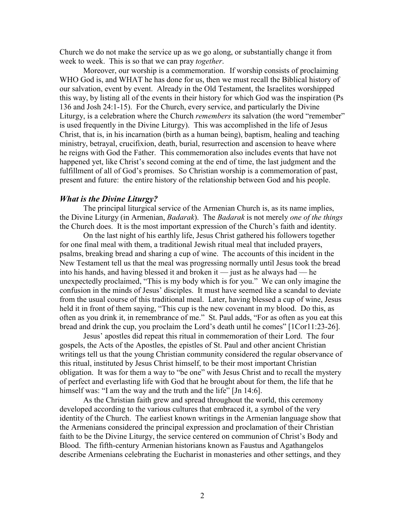Church we do not make the service up as we go along, or substantially change it from week to week. This is so that we can pray *together*.

 Moreover, our worship is a commemoration. If worship consists of proclaiming WHO God is, and WHAT he has done for us, then we must recall the Biblical history of our salvation, event by event. Already in the Old Testament, the Israelites worshipped this way, by listing all of the events in their history for which God was the inspiration (Ps 136 and Josh 24:1-15). For the Church, every service, and particularly the Divine Liturgy, is a celebration where the Church *remembers* its salvation (the word "remember" is used frequently in the Divine Liturgy). This was accomplished in the life of Jesus Christ, that is, in his incarnation (birth as a human being), baptism, healing and teaching ministry, betrayal, crucifixion, death, burial, resurrection and ascension to heave where he reigns with God the Father. This commemoration also includes events that have not happened yet, like Christ's second coming at the end of time, the last judgment and the fulfillment of all of God's promises. So Christian worship is a commemoration of past, present and future: the entire history of the relationship between God and his people.

#### *What is the Divine Liturgy?*

 The principal liturgical service of the Armenian Church is, as its name implies, the Divine Liturgy (in Armenian, *Badarak*). The *Badarak* is not merely *one of the things* the Church does. It is the most important expression of the Church's faith and identity.

 On the last night of his earthly life, Jesus Christ gathered his followers together for one final meal with them, a traditional Jewish ritual meal that included prayers, psalms, breaking bread and sharing a cup of wine. The accounts of this incident in the New Testament tell us that the meal was progressing normally until Jesus took the bread into his hands, and having blessed it and broken it — just as he always had — he unexpectedly proclaimed, "This is my body which is for you." We can only imagine the confusion in the minds of Jesus' disciples. It must have seemed like a scandal to deviate from the usual course of this traditional meal. Later, having blessed a cup of wine, Jesus held it in front of them saying, "This cup is the new covenant in my blood. Do this, as often as you drink it, in remembrance of me." St. Paul adds, "For as often as you eat this bread and drink the cup, you proclaim the Lord's death until he comes" [1Cor11:23-26].

 Jesus' apostles did repeat this ritual in commemoration of their Lord. The four gospels, the Acts of the Apostles, the epistles of St. Paul and other ancient Christian writings tell us that the young Christian community considered the regular observance of this ritual, instituted by Jesus Christ himself, to be their most important Christian obligation. It was for them a way to "be one" with Jesus Christ and to recall the mystery of perfect and everlasting life with God that he brought about for them, the life that he himself was: "I am the way and the truth and the life" [Jn 14:6].

 As the Christian faith grew and spread throughout the world, this ceremony developed according to the various cultures that embraced it, a symbol of the very identity of the Church. The earliest known writings in the Armenian language show that the Armenians considered the principal expression and proclamation of their Christian faith to be the Divine Liturgy, the service centered on communion of Christ's Body and Blood. The fifth-century Armenian historians known as Faustus and Agathangelos describe Armenians celebrating the Eucharist in monasteries and other settings, and they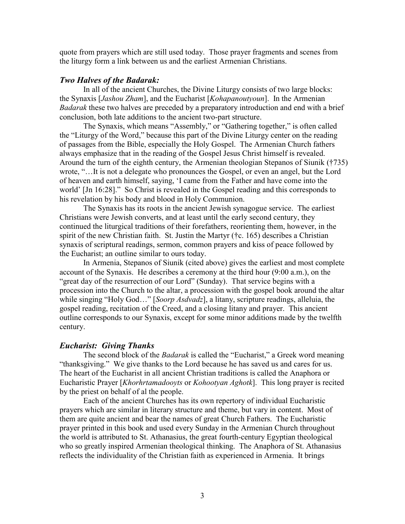quote from prayers which are still used today. Those prayer fragments and scenes from the liturgy form a link between us and the earliest Armenian Christians.

## *Two Halves of the Badarak:*

In all of the ancient Churches, the Divine Liturgy consists of two large blocks: the Synaxis [*Jashou Zham*], and the Eucharist [*Kohapanoutyoun*]. In the Armenian *Badarak* these two halves are preceded by a preparatory introduction and end with a brief conclusion, both late additions to the ancient two-part structure.

 The Synaxis, which means "Assembly," or "Gathering together," is often called the "Liturgy of the Word," because this part of the Divine Liturgy center on the reading of passages from the Bible, especially the Holy Gospel. The Armenian Church fathers always emphasize that in the reading of the Gospel Jesus Christ himself is revealed. Around the turn of the eighth century, the Armenian theologian Stepanos of Siunik (†735) wrote, "…It is not a delegate who pronounces the Gospel, or even an angel, but the Lord of heaven and earth himself, saying, 'I came from the Father and have come into the world' [Jn 16:28]." So Christ is revealed in the Gospel reading and this corresponds to his revelation by his body and blood in Holy Communion.

 The Synaxis has its roots in the ancient Jewish synagogue service. The earliest Christians were Jewish converts, and at least until the early second century, they continued the liturgical traditions of their forefathers, reorienting them, however, in the spirit of the new Christian faith. St. Justin the Martyr (†c. 165) describes a Christian synaxis of scriptural readings, sermon, common prayers and kiss of peace followed by the Eucharist; an outline similar to ours today.

 In Armenia, Stepanos of Siunik (cited above) gives the earliest and most complete account of the Synaxis. He describes a ceremony at the third hour (9:00 a.m.), on the "great day of the resurrection of our Lord" (Sunday). That service begins with a procession into the Church to the altar, a procession with the gospel book around the altar while singing "Holy God…" [*Soorp Asdvadz*], a litany, scripture readings, alleluia, the gospel reading, recitation of the Creed, and a closing litany and prayer. This ancient outline corresponds to our Synaxis, except for some minor additions made by the twelfth century.

### *Eucharist: Giving Thanks*

 The second block of the *Badarak* is called the "Eucharist," a Greek word meaning "thanksgiving." We give thanks to the Lord because he has saved us and cares for us. The heart of the Eucharist in all ancient Christian traditions is called the Anaphora or Eucharistic Prayer [*Khorhrtamadooyts* or *Kohootyan Aghotk*]. This long prayer is recited by the priest on behalf of al the people.

 Each of the ancient Churches has its own repertory of individual Eucharistic prayers which are similar in literary structure and theme, but vary in content. Most of them are quite ancient and bear the names of great Church Fathers. The Eucharistic prayer printed in this book and used every Sunday in the Armenian Church throughout the world is attributed to St. Athanasius, the great fourth-century Egyptian theological who so greatly inspired Armenian theological thinking. The Anaphora of St. Athanasius reflects the individuality of the Christian faith as experienced in Armenia. It brings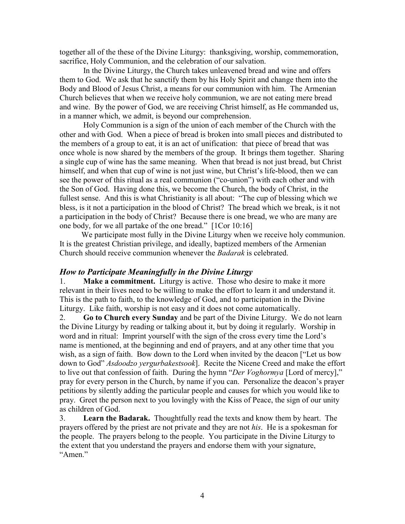together all of the these of the Divine Liturgy: thanksgiving, worship, commemoration, sacrifice, Holy Communion, and the celebration of our salvation.

 In the Divine Liturgy, the Church takes unleavened bread and wine and offers them to God. We ask that he sanctify them by his Holy Spirit and change them into the Body and Blood of Jesus Christ, a means for our communion with him. The Armenian Church believes that when we receive holy communion, we are not eating mere bread and wine. By the power of God, we are receiving Christ himself, as He commanded us, in a manner which, we admit, is beyond our comprehension.

 Holy Communion is a sign of the union of each member of the Church with the other and with God. When a piece of bread is broken into small pieces and distributed to the members of a group to eat, it is an act of unification: that piece of bread that was once whole is now shared by the members of the group. It brings them together. Sharing a single cup of wine has the same meaning. When that bread is not just bread, but Christ himself, and when that cup of wine is not just wine, but Christ's life-blood, then we can see the power of this ritual as a real communion ("co-union") with each other and with the Son of God. Having done this, we become the Church, the body of Christ, in the fullest sense. And this is what Christianity is all about: "The cup of blessing which we bless, is it not a participation in the blood of Christ? The bread which we break, is it not a participation in the body of Christ? Because there is one bread, we who are many are one body, for we all partake of the one bread." [1Cor 10:16]

 We participate most fully in the Divine Liturgy when we receive holy communion. It is the greatest Christian privilege, and ideally, baptized members of the Armenian Church should receive communion whenever the *Badarak* is celebrated.

## *How to Participate Meaningfully in the Divine Liturgy*

1. **Make a commitment.** Liturgy is active. Those who desire to make it more relevant in their lives need to be willing to make the effort to learn it and understand it. This is the path to faith, to the knowledge of God, and to participation in the Divine Liturgy. Like faith, worship is not easy and it does not come automatically.

2. **Go to Church every Sunday** and be part of the Divine Liturgy. We do not learn the Divine Liturgy by reading or talking about it, but by doing it regularly. Worship in word and in ritual: Imprint yourself with the sign of the cross every time the Lord's name is mentioned, at the beginning and end of prayers, and at any other time that you wish, as a sign of faith. Bow down to the Lord when invited by the deacon ["Let us bow down to God" *Asdoodzo yergurbakestsook*]. Recite the Nicene Creed and make the effort to live out that confession of faith. During the hymn "*Der Voghormya* [Lord of mercy]," pray for every person in the Church, by name if you can. Personalize the deacon's prayer petitions by silently adding the particular people and causes for which you would like to pray. Greet the person next to you lovingly with the Kiss of Peace, the sign of our unity as children of God.

3. **Learn the Badarak.** Thoughtfully read the texts and know them by heart. The prayers offered by the priest are not private and they are not *his*. He is a spokesman for the people. The prayers belong to the people. You participate in the Divine Liturgy to the extent that you understand the prayers and endorse them with your signature, "Amen."